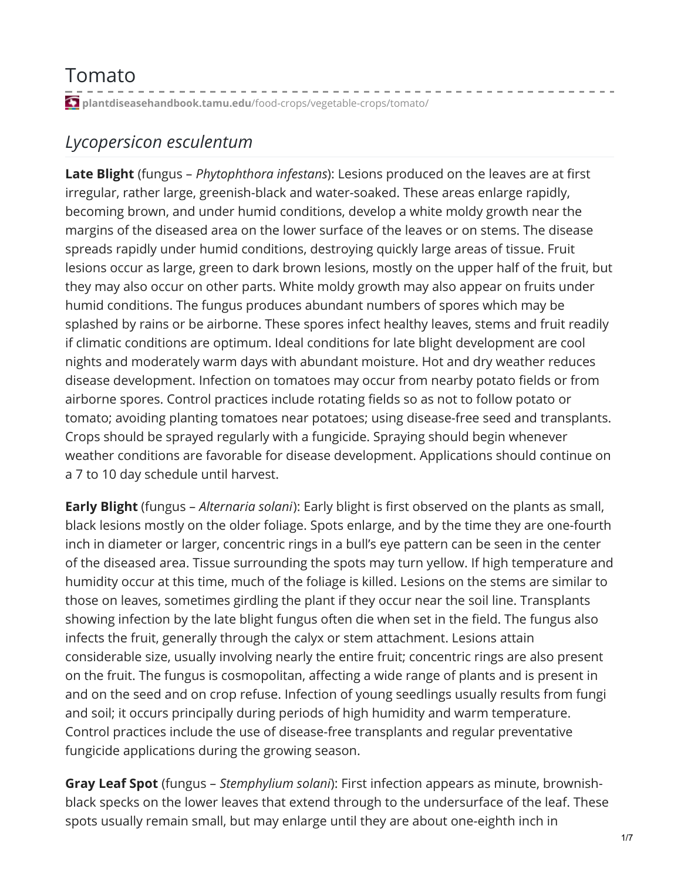## Tomato

**plantdiseasehandbook.tamu.edu**[/food-crops/vegetable-crops/tomato/](https://plantdiseasehandbook.tamu.edu/food-crops/vegetable-crops/tomato/)

## *Lycopersicon esculentum*

**Late Blight** (fungus – *Phytophthora infestans*): Lesions produced on the leaves are at first irregular, rather large, greenish-black and water-soaked. These areas enlarge rapidly, becoming brown, and under humid conditions, develop a white moldy growth near the margins of the diseased area on the lower surface of the leaves or on stems. The disease spreads rapidly under humid conditions, destroying quickly large areas of tissue. Fruit lesions occur as large, green to dark brown lesions, mostly on the upper half of the fruit, but they may also occur on other parts. White moldy growth may also appear on fruits under humid conditions. The fungus produces abundant numbers of spores which may be splashed by rains or be airborne. These spores infect healthy leaves, stems and fruit readily if climatic conditions are optimum. Ideal conditions for late blight development are cool nights and moderately warm days with abundant moisture. Hot and dry weather reduces disease development. Infection on tomatoes may occur from nearby potato fields or from airborne spores. Control practices include rotating fields so as not to follow potato or tomato; avoiding planting tomatoes near potatoes; using disease-free seed and transplants. Crops should be sprayed regularly with a fungicide. Spraying should begin whenever weather conditions are favorable for disease development. Applications should continue on a 7 to 10 day schedule until harvest.

**Early Blight** (fungus – *Alternaria solani*): Early blight is first observed on the plants as small, black lesions mostly on the older foliage. Spots enlarge, and by the time they are one-fourth inch in diameter or larger, concentric rings in a bull's eye pattern can be seen in the center of the diseased area. Tissue surrounding the spots may turn yellow. If high temperature and humidity occur at this time, much of the foliage is killed. Lesions on the stems are similar to those on leaves, sometimes girdling the plant if they occur near the soil line. Transplants showing infection by the late blight fungus often die when set in the field. The fungus also infects the fruit, generally through the calyx or stem attachment. Lesions attain considerable size, usually involving nearly the entire fruit; concentric rings are also present on the fruit. The fungus is cosmopolitan, affecting a wide range of plants and is present in and on the seed and on crop refuse. Infection of young seedlings usually results from fungi and soil; it occurs principally during periods of high humidity and warm temperature. Control practices include the use of disease-free transplants and regular preventative fungicide applications during the growing season.

**Gray Leaf Spot** (fungus – *Stemphylium solani*): First infection appears as minute, brownishblack specks on the lower leaves that extend through to the undersurface of the leaf. These spots usually remain small, but may enlarge until they are about one-eighth inch in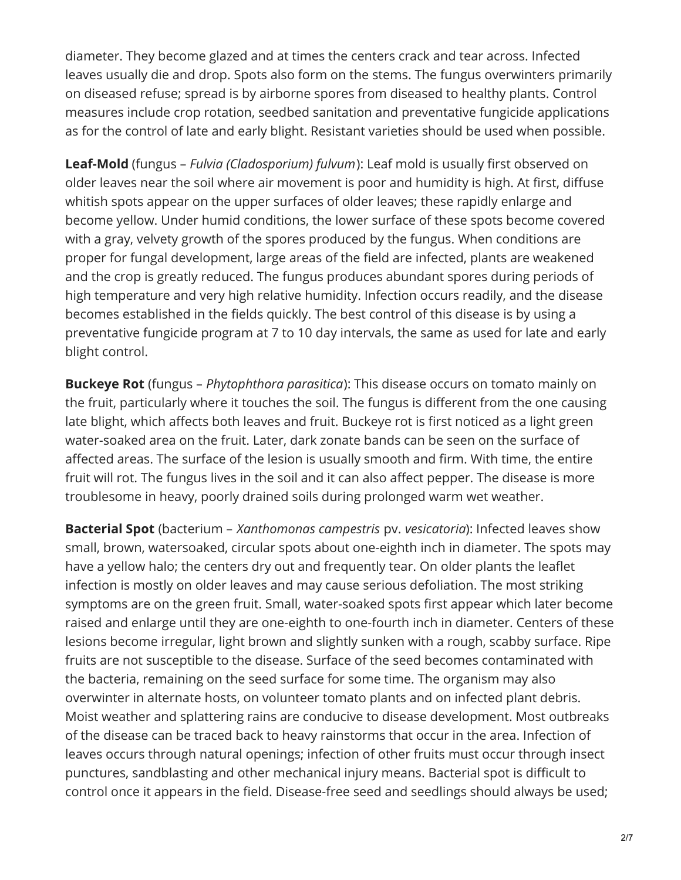diameter. They become glazed and at times the centers crack and tear across. Infected leaves usually die and drop. Spots also form on the stems. The fungus overwinters primarily on diseased refuse; spread is by airborne spores from diseased to healthy plants. Control measures include crop rotation, seedbed sanitation and preventative fungicide applications as for the control of late and early blight. Resistant varieties should be used when possible.

**Leaf-Mold** (fungus – *Fulvia (Cladosporium) fulvum*): Leaf mold is usually first observed on older leaves near the soil where air movement is poor and humidity is high. At first, diffuse whitish spots appear on the upper surfaces of older leaves; these rapidly enlarge and become yellow. Under humid conditions, the lower surface of these spots become covered with a gray, velvety growth of the spores produced by the fungus. When conditions are proper for fungal development, large areas of the field are infected, plants are weakened and the crop is greatly reduced. The fungus produces abundant spores during periods of high temperature and very high relative humidity. Infection occurs readily, and the disease becomes established in the fields quickly. The best control of this disease is by using a preventative fungicide program at 7 to 10 day intervals, the same as used for late and early blight control.

**Buckeye Rot** (fungus – *Phytophthora parasitica*): This disease occurs on tomato mainly on the fruit, particularly where it touches the soil. The fungus is different from the one causing late blight, which affects both leaves and fruit. Buckeye rot is first noticed as a light green water-soaked area on the fruit. Later, dark zonate bands can be seen on the surface of affected areas. The surface of the lesion is usually smooth and firm. With time, the entire fruit will rot. The fungus lives in the soil and it can also affect pepper. The disease is more troublesome in heavy, poorly drained soils during prolonged warm wet weather.

**Bacterial Spot** (bacterium – *Xanthomonas campestris* pv. *vesicatoria*): Infected leaves show small, brown, watersoaked, circular spots about one-eighth inch in diameter. The spots may have a yellow halo; the centers dry out and frequently tear. On older plants the leaflet infection is mostly on older leaves and may cause serious defoliation. The most striking symptoms are on the green fruit. Small, water-soaked spots first appear which later become raised and enlarge until they are one-eighth to one-fourth inch in diameter. Centers of these lesions become irregular, light brown and slightly sunken with a rough, scabby surface. Ripe fruits are not susceptible to the disease. Surface of the seed becomes contaminated with the bacteria, remaining on the seed surface for some time. The organism may also overwinter in alternate hosts, on volunteer tomato plants and on infected plant debris. Moist weather and splattering rains are conducive to disease development. Most outbreaks of the disease can be traced back to heavy rainstorms that occur in the area. Infection of leaves occurs through natural openings; infection of other fruits must occur through insect punctures, sandblasting and other mechanical injury means. Bacterial spot is difficult to control once it appears in the field. Disease-free seed and seedlings should always be used;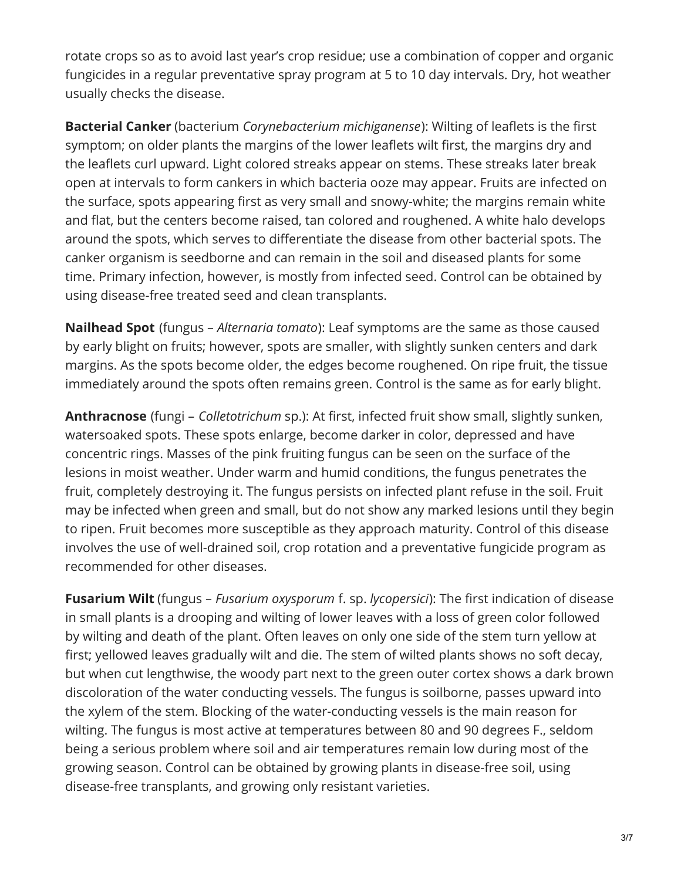rotate crops so as to avoid last year's crop residue; use a combination of copper and organic fungicides in a regular preventative spray program at 5 to 10 day intervals. Dry, hot weather usually checks the disease.

**Bacterial Canker** (bacterium *Corynebacterium michiganense*): Wilting of leaflets is the first symptom; on older plants the margins of the lower leaflets wilt first, the margins dry and the leaflets curl upward. Light colored streaks appear on stems. These streaks later break open at intervals to form cankers in which bacteria ooze may appear. Fruits are infected on the surface, spots appearing first as very small and snowy-white; the margins remain white and flat, but the centers become raised, tan colored and roughened. A white halo develops around the spots, which serves to differentiate the disease from other bacterial spots. The canker organism is seedborne and can remain in the soil and diseased plants for some time. Primary infection, however, is mostly from infected seed. Control can be obtained by using disease-free treated seed and clean transplants.

**Nailhead Spot** (fungus – *Alternaria tomato*): Leaf symptoms are the same as those caused by early blight on fruits; however, spots are smaller, with slightly sunken centers and dark margins. As the spots become older, the edges become roughened. On ripe fruit, the tissue immediately around the spots often remains green. Control is the same as for early blight.

**Anthracnose** (fungi – *Colletotrichum* sp.): At first, infected fruit show small, slightly sunken, watersoaked spots. These spots enlarge, become darker in color, depressed and have concentric rings. Masses of the pink fruiting fungus can be seen on the surface of the lesions in moist weather. Under warm and humid conditions, the fungus penetrates the fruit, completely destroying it. The fungus persists on infected plant refuse in the soil. Fruit may be infected when green and small, but do not show any marked lesions until they begin to ripen. Fruit becomes more susceptible as they approach maturity. Control of this disease involves the use of well-drained soil, crop rotation and a preventative fungicide program as recommended for other diseases.

**Fusarium Wilt** (fungus – *Fusarium oxysporum* f. sp. *lycopersici*): The first indication of disease in small plants is a drooping and wilting of lower leaves with a loss of green color followed by wilting and death of the plant. Often leaves on only one side of the stem turn yellow at first; yellowed leaves gradually wilt and die. The stem of wilted plants shows no soft decay, but when cut lengthwise, the woody part next to the green outer cortex shows a dark brown discoloration of the water conducting vessels. The fungus is soilborne, passes upward into the xylem of the stem. Blocking of the water-conducting vessels is the main reason for wilting. The fungus is most active at temperatures between 80 and 90 degrees F., seldom being a serious problem where soil and air temperatures remain low during most of the growing season. Control can be obtained by growing plants in disease-free soil, using disease-free transplants, and growing only resistant varieties.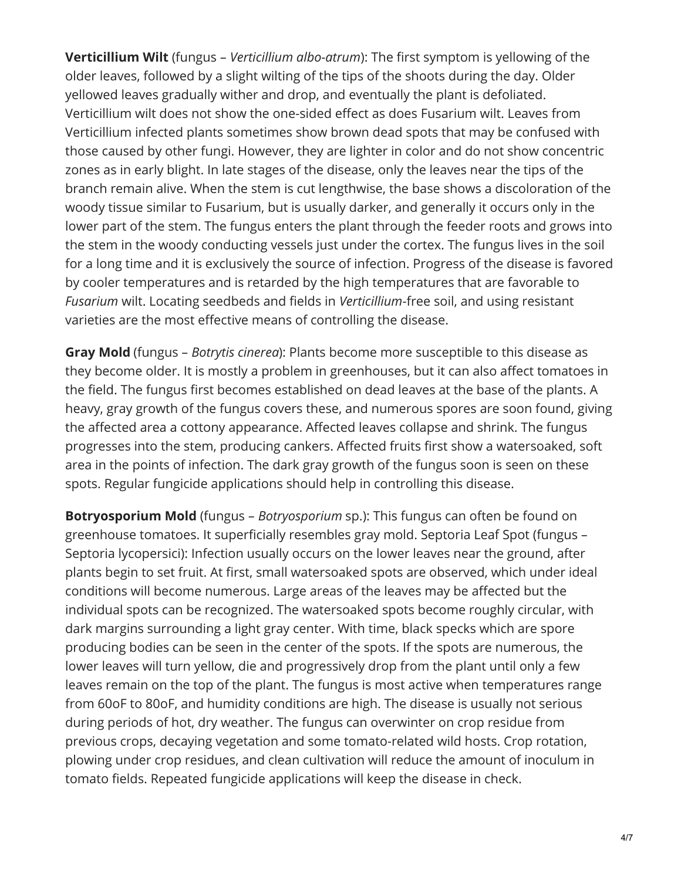**Verticillium Wilt** (fungus – *Verticillium albo-atrum*): The first symptom is yellowing of the older leaves, followed by a slight wilting of the tips of the shoots during the day. Older yellowed leaves gradually wither and drop, and eventually the plant is defoliated. Verticillium wilt does not show the one-sided effect as does Fusarium wilt. Leaves from Verticillium infected plants sometimes show brown dead spots that may be confused with those caused by other fungi. However, they are lighter in color and do not show concentric zones as in early blight. In late stages of the disease, only the leaves near the tips of the branch remain alive. When the stem is cut lengthwise, the base shows a discoloration of the woody tissue similar to Fusarium, but is usually darker, and generally it occurs only in the lower part of the stem. The fungus enters the plant through the feeder roots and grows into the stem in the woody conducting vessels just under the cortex. The fungus lives in the soil for a long time and it is exclusively the source of infection. Progress of the disease is favored by cooler temperatures and is retarded by the high temperatures that are favorable to *Fusarium* wilt. Locating seedbeds and fields in *Verticillium*-free soil, and using resistant varieties are the most effective means of controlling the disease.

**Gray Mold** (fungus – *Botrytis cinerea*): Plants become more susceptible to this disease as they become older. It is mostly a problem in greenhouses, but it can also affect tomatoes in the field. The fungus first becomes established on dead leaves at the base of the plants. A heavy, gray growth of the fungus covers these, and numerous spores are soon found, giving the affected area a cottony appearance. Affected leaves collapse and shrink. The fungus progresses into the stem, producing cankers. Affected fruits first show a watersoaked, soft area in the points of infection. The dark gray growth of the fungus soon is seen on these spots. Regular fungicide applications should help in controlling this disease.

**Botryosporium Mold** (fungus – *Botryosporium* sp.): This fungus can often be found on greenhouse tomatoes. It superficially resembles gray mold. Septoria Leaf Spot (fungus – Septoria lycopersici): Infection usually occurs on the lower leaves near the ground, after plants begin to set fruit. At first, small watersoaked spots are observed, which under ideal conditions will become numerous. Large areas of the leaves may be affected but the individual spots can be recognized. The watersoaked spots become roughly circular, with dark margins surrounding a light gray center. With time, black specks which are spore producing bodies can be seen in the center of the spots. If the spots are numerous, the lower leaves will turn yellow, die and progressively drop from the plant until only a few leaves remain on the top of the plant. The fungus is most active when temperatures range from 60oF to 80oF, and humidity conditions are high. The disease is usually not serious during periods of hot, dry weather. The fungus can overwinter on crop residue from previous crops, decaying vegetation and some tomato-related wild hosts. Crop rotation, plowing under crop residues, and clean cultivation will reduce the amount of inoculum in tomato fields. Repeated fungicide applications will keep the disease in check.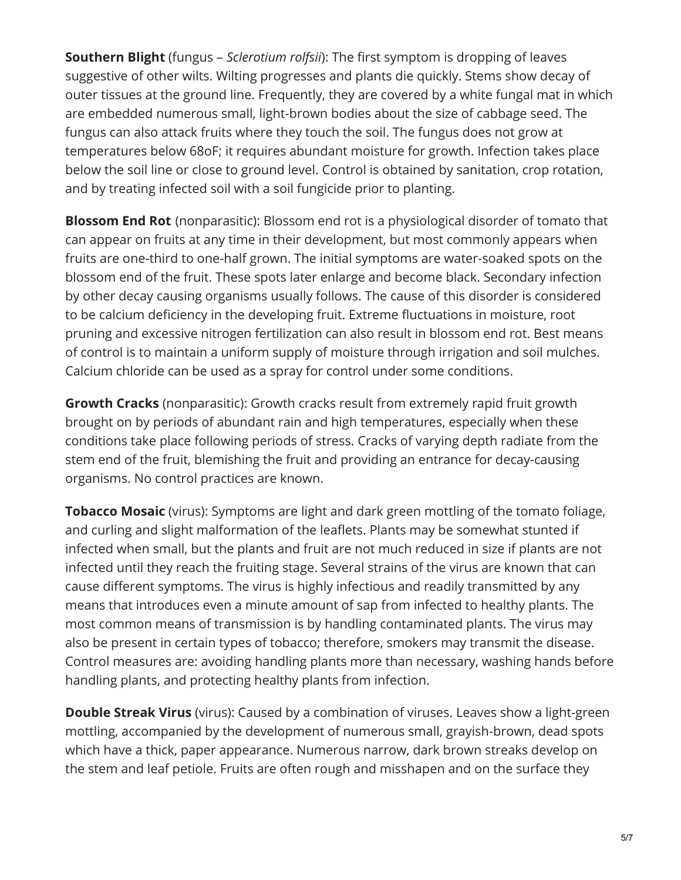**Southern Blight** (fungus – *Sclerotium rolfsii*): The first symptom is dropping of leaves suggestive of other wilts. Wilting progresses and plants die quickly. Stems show decay of outer tissues at the ground line. Frequently, they are covered by a white fungal mat in which are embedded numerous small, light-brown bodies about the size of cabbage seed. The fungus can also attack fruits where they touch the soil. The fungus does not grow at temperatures below 68oF; it requires abundant moisture for growth. Infection takes place below the soil line or close to ground level. Control is obtained by sanitation, crop rotation, and by treating infected soil with a soil fungicide prior to planting.

**Blossom End Rot** (nonparasitic): Blossom end rot is a physiological disorder of tomato that can appear on fruits at any time in their development, but most commonly appears when fruits are one-third to one-half grown. The initial symptoms are water-soaked spots on the blossom end of the fruit. These spots later enlarge and become black. Secondary infection by other decay causing organisms usually follows. The cause of this disorder is considered to be calcium deficiency in the developing fruit. Extreme fluctuations in moisture, root pruning and excessive nitrogen fertilization can also result in blossom end rot. Best means of control is to maintain a uniform supply of moisture through irrigation and soil mulches. Calcium chloride can be used as a spray for control under some conditions.

**Growth Cracks** (nonparasitic): Growth cracks result from extremely rapid fruit growth brought on by periods of abundant rain and high temperatures, especially when these conditions take place following periods of stress. Cracks of varying depth radiate from the stem end of the fruit, blemishing the fruit and providing an entrance for decay-causing organisms. No control practices are known.

**Tobacco Mosaic** (virus): Symptoms are light and dark green mottling of the tomato foliage, and curling and slight malformation of the leaflets. Plants may be somewhat stunted if infected when small, but the plants and fruit are not much reduced in size if plants are not infected until they reach the fruiting stage. Several strains of the virus are known that can cause different symptoms. The virus is highly infectious and readily transmitted by any means that introduces even a minute amount of sap from infected to healthy plants. The most common means of transmission is by handling contaminated plants. The virus may also be present in certain types of tobacco; therefore, smokers may transmit the disease. Control measures are: avoiding handling plants more than necessary, washing hands before handling plants, and protecting healthy plants from infection.

**Double Streak Virus** (virus): Caused by a combination of viruses. Leaves show a light-green mottling, accompanied by the development of numerous small, grayish-brown, dead spots which have a thick, paper appearance. Numerous narrow, dark brown streaks develop on the stem and leaf petiole. Fruits are often rough and misshapen and on the surface they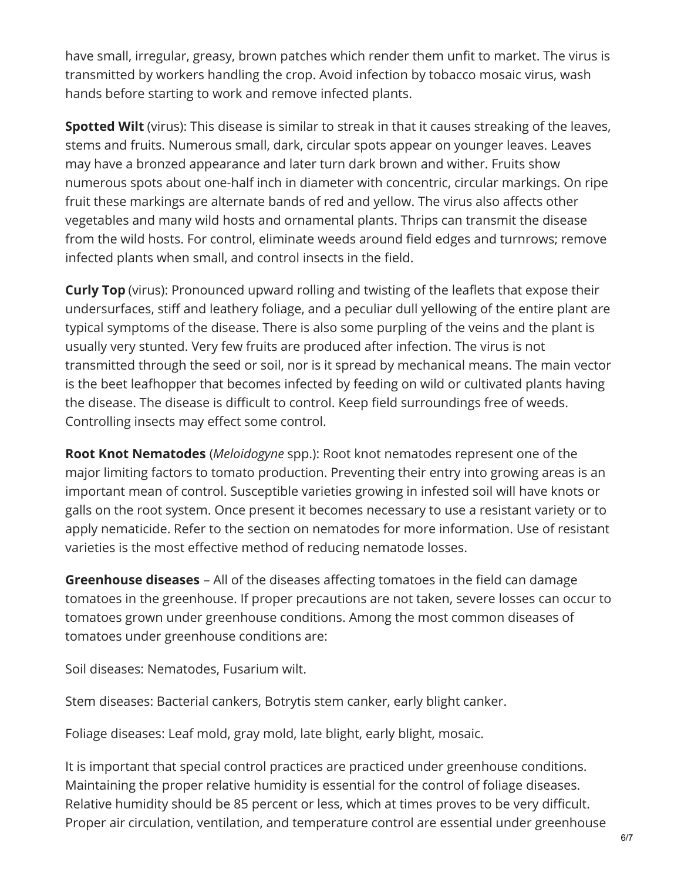have small, irregular, greasy, brown patches which render them unfit to market. The virus is transmitted by workers handling the crop. Avoid infection by tobacco mosaic virus, wash hands before starting to work and remove infected plants.

**Spotted Wilt** (virus): This disease is similar to streak in that it causes streaking of the leaves, stems and fruits. Numerous small, dark, circular spots appear on younger leaves. Leaves may have a bronzed appearance and later turn dark brown and wither. Fruits show numerous spots about one-half inch in diameter with concentric, circular markings. On ripe fruit these markings are alternate bands of red and yellow. The virus also affects other vegetables and many wild hosts and ornamental plants. Thrips can transmit the disease from the wild hosts. For control, eliminate weeds around field edges and turnrows; remove infected plants when small, and control insects in the field.

**Curly Top** (virus): Pronounced upward rolling and twisting of the leaflets that expose their undersurfaces, stiff and leathery foliage, and a peculiar dull yellowing of the entire plant are typical symptoms of the disease. There is also some purpling of the veins and the plant is usually very stunted. Very few fruits are produced after infection. The virus is not transmitted through the seed or soil, nor is it spread by mechanical means. The main vector is the beet leafhopper that becomes infected by feeding on wild or cultivated plants having the disease. The disease is difficult to control. Keep field surroundings free of weeds. Controlling insects may effect some control.

**Root Knot Nematodes** (*Meloidogyne* spp.): Root knot nematodes represent one of the major limiting factors to tomato production. Preventing their entry into growing areas is an important mean of control. Susceptible varieties growing in infested soil will have knots or galls on the root system. Once present it becomes necessary to use a resistant variety or to apply nematicide. Refer to the section on nematodes for more information. Use of resistant varieties is the most effective method of reducing nematode losses.

**Greenhouse diseases** – All of the diseases affecting tomatoes in the field can damage tomatoes in the greenhouse. If proper precautions are not taken, severe losses can occur to tomatoes grown under greenhouse conditions. Among the most common diseases of tomatoes under greenhouse conditions are:

Soil diseases: Nematodes, Fusarium wilt.

Stem diseases: Bacterial cankers, Botrytis stem canker, early blight canker.

Foliage diseases: Leaf mold, gray mold, late blight, early blight, mosaic.

It is important that special control practices are practiced under greenhouse conditions. Maintaining the proper relative humidity is essential for the control of foliage diseases. Relative humidity should be 85 percent or less, which at times proves to be very difficult. Proper air circulation, ventilation, and temperature control are essential under greenhouse